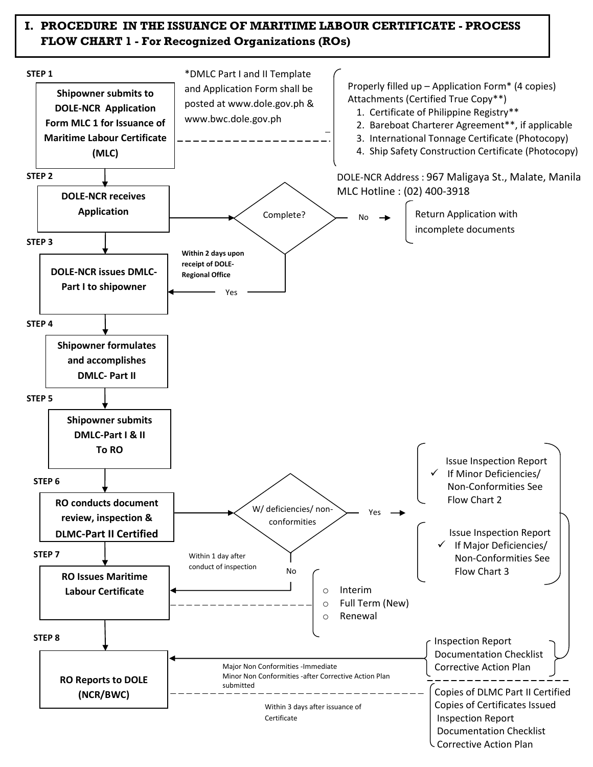## **I. PROCEDURE IN THE ISSUANCE OF MARITIME LABOUR CERTIFICATE - PROCESS FLOW CHART 1 - For Recognized Organizations (ROs)**

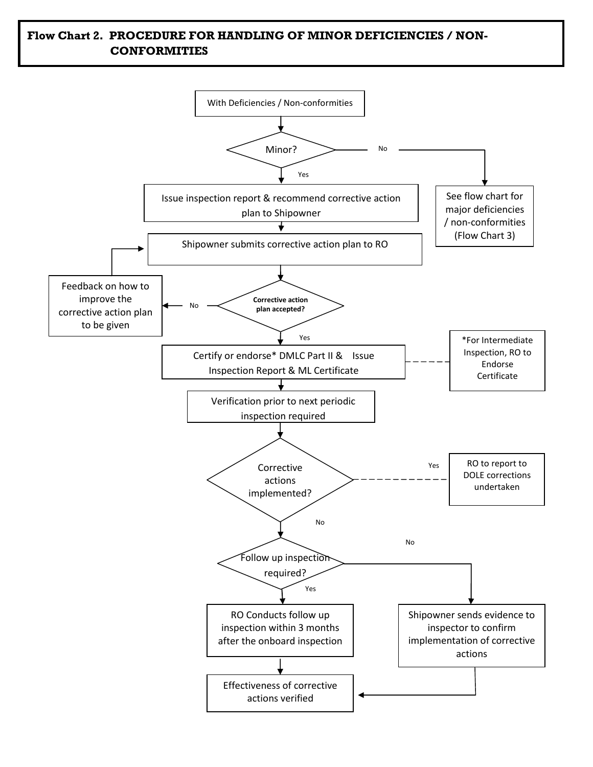## **Flow Chart 2. PROCEDURE FOR HANDLING OF MINOR DEFICIENCIES / NON-CONFORMITIES**